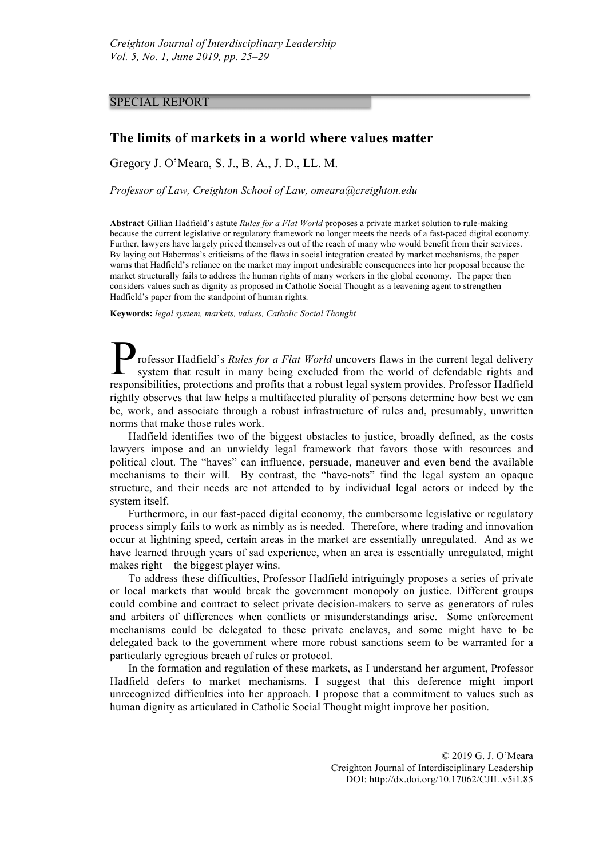## SPECIAL REPORT

## **The limits of markets in a world where values matter**

Gregory J. O'Meara, S. J., B. A., J. D., LL. M.

*Professor of Law, Creighton School of Law, omeara@creighton.edu*

**Abstract** Gillian Hadfield's astute *Rules for a Flat World* proposes a private market solution to rule-making because the current legislative or regulatory framework no longer meets the needs of a fast-paced digital economy. Further, lawyers have largely priced themselves out of the reach of many who would benefit from their services. By laying out Habermas's criticisms of the flaws in social integration created by market mechanisms, the paper warns that Hadfield's reliance on the market may import undesirable consequences into her proposal because the market structurally fails to address the human rights of many workers in the global economy. The paper then considers values such as dignity as proposed in Catholic Social Thought as a leavening agent to strengthen Hadfield's paper from the standpoint of human rights.

**Keywords:** *legal system, markets, values, Catholic Social Thought*

rofessor Hadfield's *Rules for a Flat World* uncovers flaws in the current legal delivery system that result in many being excluded from the world of defendable rights and rofessor Hadfield's *Rules for a Flat World* uncovers flaws in the current legal delivery system that result in many being excluded from the world of defendable rights and responsibilities, protections and profits that a r rightly observes that law helps a multifaceted plurality of persons determine how best we can be, work, and associate through a robust infrastructure of rules and, presumably, unwritten norms that make those rules work.

Hadfield identifies two of the biggest obstacles to justice, broadly defined, as the costs lawyers impose and an unwieldy legal framework that favors those with resources and political clout. The "haves" can influence, persuade, maneuver and even bend the available mechanisms to their will. By contrast, the "have-nots" find the legal system an opaque structure, and their needs are not attended to by individual legal actors or indeed by the system itself.

Furthermore, in our fast-paced digital economy, the cumbersome legislative or regulatory process simply fails to work as nimbly as is needed. Therefore, where trading and innovation occur at lightning speed, certain areas in the market are essentially unregulated. And as we have learned through years of sad experience, when an area is essentially unregulated, might makes right – the biggest player wins.

To address these difficulties, Professor Hadfield intriguingly proposes a series of private or local markets that would break the government monopoly on justice. Different groups could combine and contract to select private decision-makers to serve as generators of rules and arbiters of differences when conflicts or misunderstandings arise. Some enforcement mechanisms could be delegated to these private enclaves, and some might have to be delegated back to the government where more robust sanctions seem to be warranted for a particularly egregious breach of rules or protocol.

In the formation and regulation of these markets, as I understand her argument, Professor Hadfield defers to market mechanisms. I suggest that this deference might import unrecognized difficulties into her approach. I propose that a commitment to values such as human dignity as articulated in Catholic Social Thought might improve her position.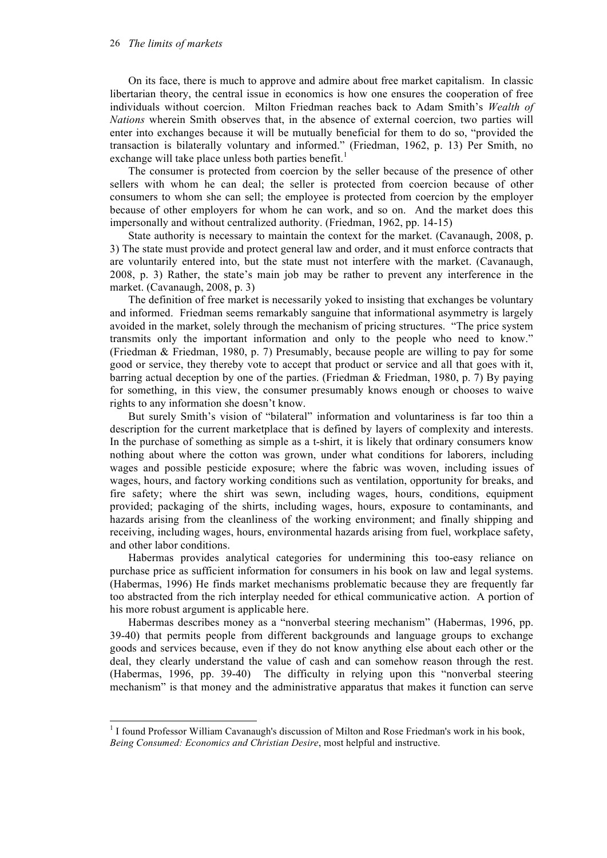## 26 *The limits of markets*

On its face, there is much to approve and admire about free market capitalism. In classic libertarian theory, the central issue in economics is how one ensures the cooperation of free individuals without coercion. Milton Friedman reaches back to Adam Smith's *Wealth of Nations* wherein Smith observes that, in the absence of external coercion, two parties will enter into exchanges because it will be mutually beneficial for them to do so, "provided the transaction is bilaterally voluntary and informed." (Friedman, 1962, p. 13) Per Smith, no exchange will take place unless both parties benefit.<sup>1</sup>

The consumer is protected from coercion by the seller because of the presence of other sellers with whom he can deal; the seller is protected from coercion because of other consumers to whom she can sell; the employee is protected from coercion by the employer because of other employers for whom he can work, and so on. And the market does this impersonally and without centralized authority. (Friedman, 1962, pp. 14-15)

State authority is necessary to maintain the context for the market. (Cavanaugh, 2008, p. 3) The state must provide and protect general law and order, and it must enforce contracts that are voluntarily entered into, but the state must not interfere with the market. (Cavanaugh, 2008, p. 3) Rather, the state's main job may be rather to prevent any interference in the market. (Cavanaugh, 2008, p. 3)

The definition of free market is necessarily yoked to insisting that exchanges be voluntary and informed. Friedman seems remarkably sanguine that informational asymmetry is largely avoided in the market, solely through the mechanism of pricing structures. "The price system transmits only the important information and only to the people who need to know." (Friedman & Friedman, 1980, p. 7) Presumably, because people are willing to pay for some good or service, they thereby vote to accept that product or service and all that goes with it, barring actual deception by one of the parties. (Friedman & Friedman, 1980, p. 7) By paying for something, in this view, the consumer presumably knows enough or chooses to waive rights to any information she doesn't know.

But surely Smith's vision of "bilateral" information and voluntariness is far too thin a description for the current marketplace that is defined by layers of complexity and interests. In the purchase of something as simple as a t-shirt, it is likely that ordinary consumers know nothing about where the cotton was grown, under what conditions for laborers, including wages and possible pesticide exposure; where the fabric was woven, including issues of wages, hours, and factory working conditions such as ventilation, opportunity for breaks, and fire safety; where the shirt was sewn, including wages, hours, conditions, equipment provided; packaging of the shirts, including wages, hours, exposure to contaminants, and hazards arising from the cleanliness of the working environment; and finally shipping and receiving, including wages, hours, environmental hazards arising from fuel, workplace safety, and other labor conditions.

Habermas provides analytical categories for undermining this too-easy reliance on purchase price as sufficient information for consumers in his book on law and legal systems. (Habermas, 1996) He finds market mechanisms problematic because they are frequently far too abstracted from the rich interplay needed for ethical communicative action. A portion of his more robust argument is applicable here.

Habermas describes money as a "nonverbal steering mechanism" (Habermas, 1996, pp. 39-40) that permits people from different backgrounds and language groups to exchange goods and services because, even if they do not know anything else about each other or the deal, they clearly understand the value of cash and can somehow reason through the rest. (Habermas, 1996, pp. 39-40) The difficulty in relying upon this "nonverbal steering mechanism" is that money and the administrative apparatus that makes it function can serve

<sup>&</sup>lt;sup>1</sup> I found Professor William Cavanaugh's discussion of Milton and Rose Friedman's work in his book, *Being Consumed: Economics and Christian Desire*, most helpful and instructive.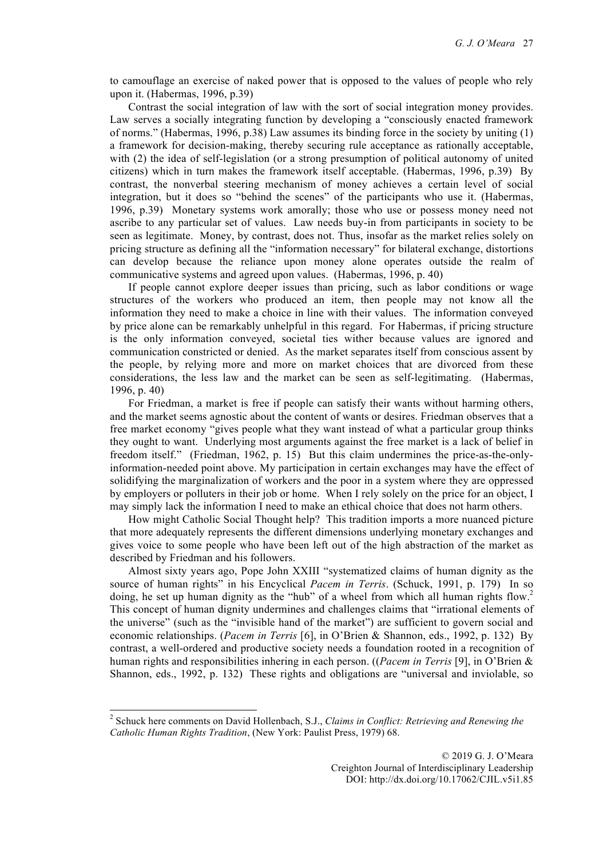to camouflage an exercise of naked power that is opposed to the values of people who rely upon it. (Habermas, 1996, p.39)

Contrast the social integration of law with the sort of social integration money provides. Law serves a socially integrating function by developing a "consciously enacted framework of norms." (Habermas, 1996, p.38) Law assumes its binding force in the society by uniting (1) a framework for decision-making, thereby securing rule acceptance as rationally acceptable, with (2) the idea of self-legislation (or a strong presumption of political autonomy of united citizens) which in turn makes the framework itself acceptable. (Habermas, 1996, p.39) By contrast, the nonverbal steering mechanism of money achieves a certain level of social integration, but it does so "behind the scenes" of the participants who use it. (Habermas, 1996, p.39) Monetary systems work amorally; those who use or possess money need not ascribe to any particular set of values. Law needs buy-in from participants in society to be seen as legitimate. Money, by contrast, does not. Thus, insofar as the market relies solely on pricing structure as defining all the "information necessary" for bilateral exchange, distortions can develop because the reliance upon money alone operates outside the realm of communicative systems and agreed upon values. (Habermas, 1996, p. 40)

If people cannot explore deeper issues than pricing, such as labor conditions or wage structures of the workers who produced an item, then people may not know all the information they need to make a choice in line with their values. The information conveyed by price alone can be remarkably unhelpful in this regard. For Habermas, if pricing structure is the only information conveyed, societal ties wither because values are ignored and communication constricted or denied. As the market separates itself from conscious assent by the people, by relying more and more on market choices that are divorced from these considerations, the less law and the market can be seen as self-legitimating. (Habermas, 1996, p. 40)

For Friedman, a market is free if people can satisfy their wants without harming others, and the market seems agnostic about the content of wants or desires. Friedman observes that a free market economy "gives people what they want instead of what a particular group thinks they ought to want. Underlying most arguments against the free market is a lack of belief in freedom itself." (Friedman, 1962, p. 15) But this claim undermines the price-as-the-onlyinformation-needed point above. My participation in certain exchanges may have the effect of solidifying the marginalization of workers and the poor in a system where they are oppressed by employers or polluters in their job or home. When I rely solely on the price for an object, I may simply lack the information I need to make an ethical choice that does not harm others.

How might Catholic Social Thought help? This tradition imports a more nuanced picture that more adequately represents the different dimensions underlying monetary exchanges and gives voice to some people who have been left out of the high abstraction of the market as described by Friedman and his followers.

Almost sixty years ago, Pope John XXIII "systematized claims of human dignity as the source of human rights" in his Encyclical *Pacem in Terris*. (Schuck, 1991, p. 179) In so doing, he set up human dignity as the "hub" of a wheel from which all human rights flow.<sup>2</sup> This concept of human dignity undermines and challenges claims that "irrational elements of the universe" (such as the "invisible hand of the market") are sufficient to govern social and economic relationships. (*Pacem in Terris* [6], in O'Brien & Shannon, eds., 1992, p. 132) By contrast, a well-ordered and productive society needs a foundation rooted in a recognition of human rights and responsibilities inhering in each person. ((*Pacem in Terris* [9], in O'Brien & Shannon, eds., 1992, p. 132) These rights and obligations are "universal and inviolable, so

 <sup>2</sup> Schuck here comments on David Hollenbach, S.J., *Claims in Conflict: Retrieving and Renewing the Catholic Human Rights Tradition*, (New York: Paulist Press, 1979) 68.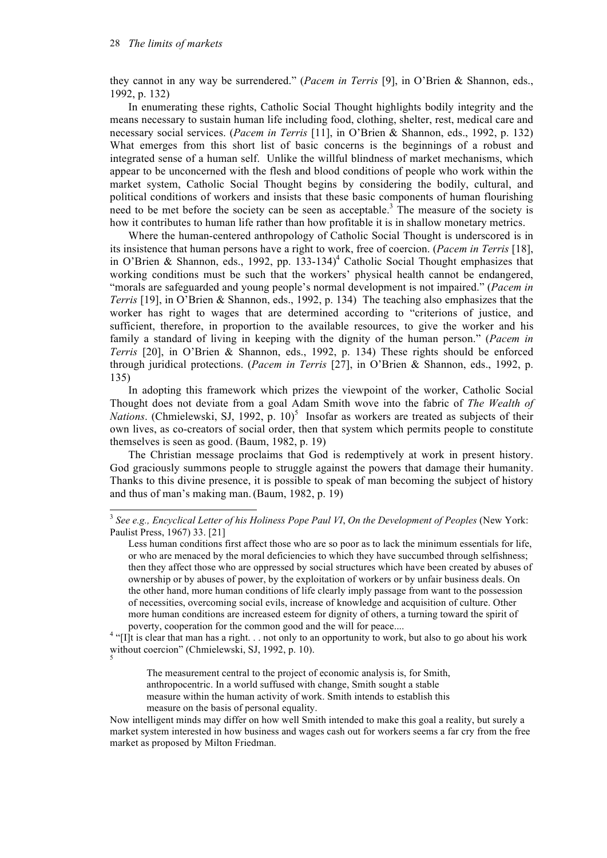they cannot in any way be surrendered." (*Pacem in Terris* [9], in O'Brien & Shannon, eds., 1992, p. 132)

In enumerating these rights, Catholic Social Thought highlights bodily integrity and the means necessary to sustain human life including food, clothing, shelter, rest, medical care and necessary social services. (*Pacem in Terris* [11], in O'Brien & Shannon, eds., 1992, p. 132) What emerges from this short list of basic concerns is the beginnings of a robust and integrated sense of a human self. Unlike the willful blindness of market mechanisms, which appear to be unconcerned with the flesh and blood conditions of people who work within the market system, Catholic Social Thought begins by considering the bodily, cultural, and political conditions of workers and insists that these basic components of human flourishing need to be met before the society can be seen as acceptable.<sup>3</sup> The measure of the society is how it contributes to human life rather than how profitable it is in shallow monetary metrics.

Where the human-centered anthropology of Catholic Social Thought is underscored is in its insistence that human persons have a right to work, free of coercion. (*Pacem in Terris* [18], in O'Brien & Shannon, eds., 1992, pp. 133-134)<sup>4</sup> Catholic Social Thought emphasizes that working conditions must be such that the workers' physical health cannot be endangered, "morals are safeguarded and young people's normal development is not impaired." (*Pacem in Terris* [19], in O'Brien & Shannon, eds., 1992, p. 134) The teaching also emphasizes that the worker has right to wages that are determined according to "criterions of justice, and sufficient, therefore, in proportion to the available resources, to give the worker and his family a standard of living in keeping with the dignity of the human person." (*Pacem in Terris* [20], in O'Brien & Shannon, eds., 1992, p. 134) These rights should be enforced through juridical protections. (*Pacem in Terris* [27], in O'Brien & Shannon, eds., 1992, p. 135)

In adopting this framework which prizes the viewpoint of the worker, Catholic Social Thought does not deviate from a goal Adam Smith wove into the fabric of *The Wealth of*  Nations. (Chmielewski, SJ, 1992, p. 10)<sup>5</sup> Insofar as workers are treated as subjects of their own lives, as co-creators of social order, then that system which permits people to constitute themselves is seen as good. (Baum, 1982, p. 19)

The Christian message proclaims that God is redemptively at work in present history. God graciously summons people to struggle against the powers that damage their humanity. Thanks to this divine presence, it is possible to speak of man becoming the subject of history and thus of man's making man. (Baum, 1982, p. 19)

 <sup>3</sup> *See e.g., Encyclical Letter of his Holiness Pope Paul VI*, *On the Development of Peoples* (New York: Paulist Press, 1967) 33. [21]

Less human conditions first affect those who are so poor as to lack the minimum essentials for life, or who are menaced by the moral deficiencies to which they have succumbed through selfishness; then they affect those who are oppressed by social structures which have been created by abuses of ownership or by abuses of power, by the exploitation of workers or by unfair business deals. On the other hand, more human conditions of life clearly imply passage from want to the possession of necessities, overcoming social evils, increase of knowledge and acquisition of culture. Other more human conditions are increased esteem for dignity of others, a turning toward the spirit of

poverty, cooperation for the common good and the will for peace....<br><sup>4</sup> "[I]t is clear that man has a right. . . not only to an opportunity to work, but also to go about his work without coercion" (Chmielewski, SJ, 1992, p. 10).

The measurement central to the project of economic analysis is, for Smith, anthropocentric. In a world suffused with change, Smith sought a stable measure within the human activity of work. Smith intends to establish this measure on the basis of personal equality.

Now intelligent minds may differ on how well Smith intended to make this goal a reality, but surely a market system interested in how business and wages cash out for workers seems a far cry from the free market as proposed by Milton Friedman.